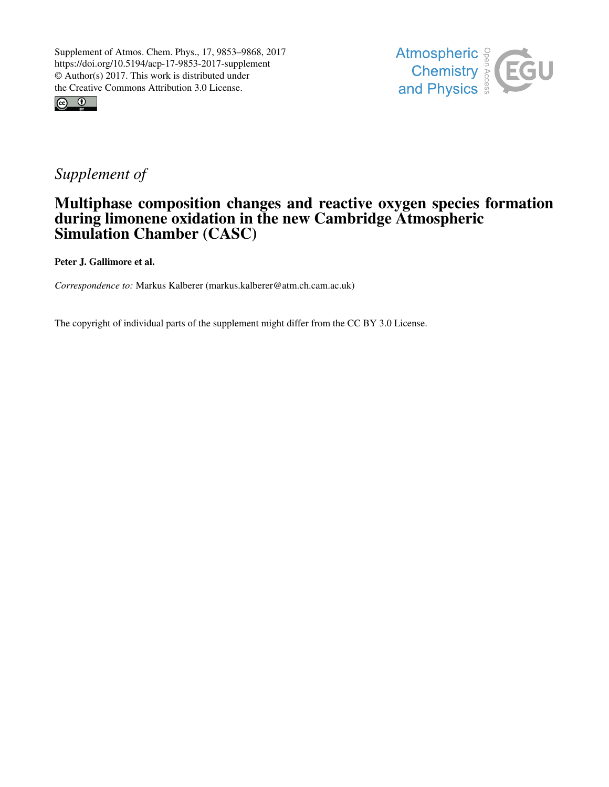



# *Supplement of*

# Multiphase composition changes and reactive oxygen species formation during limonene oxidation in the new Cambridge Atmospheric Simulation Chamber (CASC)

Peter J. Gallimore et al.

*Correspondence to:* Markus Kalberer (markus.kalberer@atm.ch.cam.ac.uk)

The copyright of individual parts of the supplement might differ from the CC BY 3.0 License.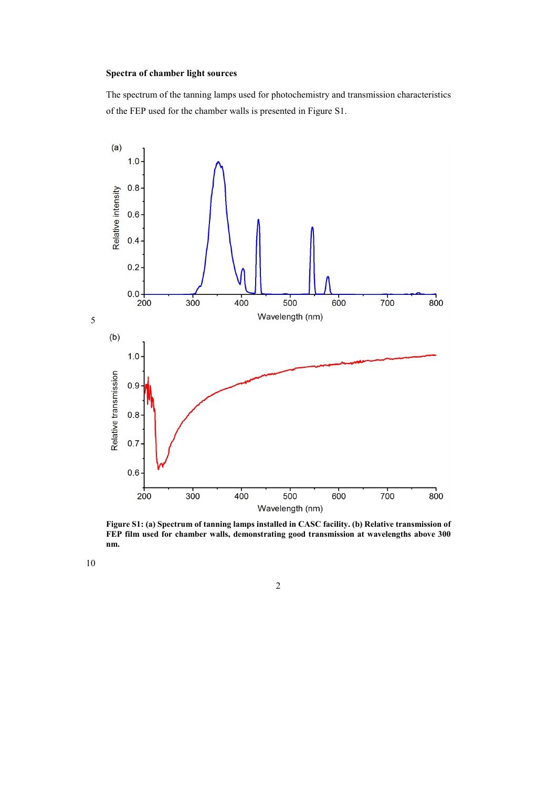## **Spectra of chamber light sources**

The spectrum of the tanning lamps used for photochemistry and transmission characteristics of the FEP used for the chamber walls is presented in Figure S1.



**Figure S1: (a) Spectrum of tanning lamps installed in CASC facility. (b) Relative transmission of FEP film used for chamber walls, demonstrating good transmission at wavelengths above 300 nm.** 

10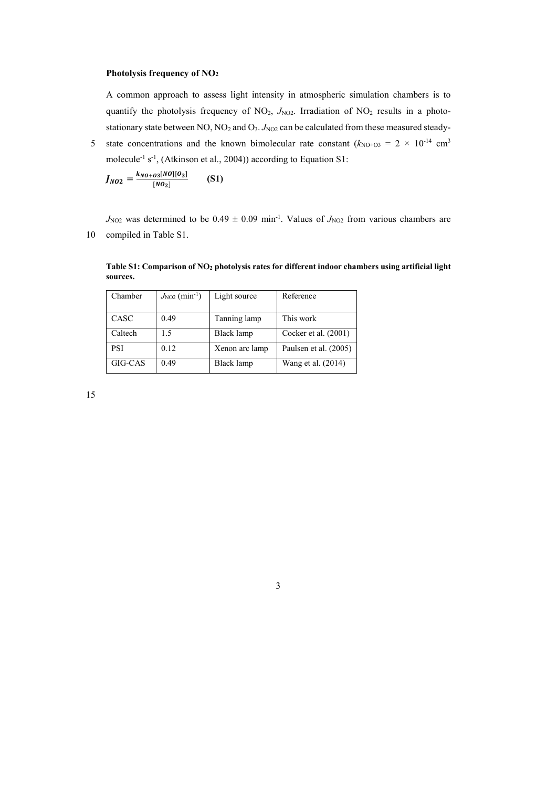## **Photolysis frequency of NO<sup>2</sup>**

A common approach to assess light intensity in atmospheric simulation chambers is to quantify the photolysis frequency of NO<sub>2</sub>,  $J_{NQ2}$ . Irradiation of NO<sub>2</sub> results in a photostationary state between NO, NO<sub>2</sub> and O<sub>3</sub>. *J*<sub>NO2</sub> can be calculated from these measured steady-

5 state concentrations and the known bimolecular rate constant  $(k_{\text{NO+O3}} = 2 \times 10^{-14} \text{ cm}^3)$ molecule<sup>-1</sup> s<sup>-1</sup>, (Atkinson et al., 2004)) according to Equation S1:

$$
J_{NO2} = \frac{k_{NO+O3}[NO][O_3]}{[NO_2]} \qquad (S1)
$$

 $J_{NQ2}$  was determined to be 0.49  $\pm$  0.09 min<sup>-1</sup>. Values of  $J_{NQ2}$  from various chambers are 10 compiled in Table S1.

**Table S1: Comparison of NO2 photolysis rates for different indoor chambers using artificial light sources.** 

3

| Chamber    | $J_{\text{NO2}}$ (min <sup>-1</sup> ) | Light source   | Reference             |
|------------|---------------------------------------|----------------|-----------------------|
|            |                                       |                |                       |
| CASC       | 0.49                                  | Tanning lamp   | This work             |
| Caltech    | 1.5                                   | Black lamp     | Cocker et al. (2001)  |
| <b>PSI</b> | 0.12                                  | Xenon arc lamp | Paulsen et al. (2005) |
| GIG-CAS    | 0.49                                  | Black lamp     | Wang et al. (2014)    |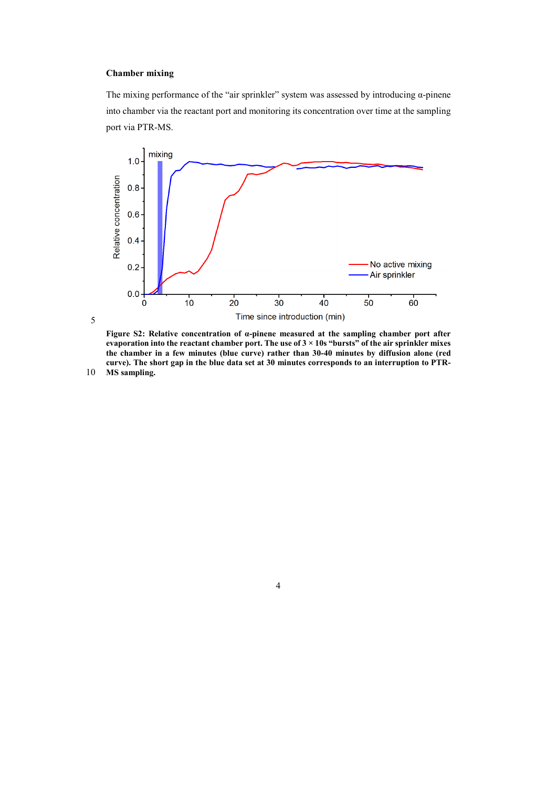# **Chamber mixing**

5

The mixing performance of the "air sprinkler" system was assessed by introducing  $\alpha$ -pinene into chamber via the reactant port and monitoring its concentration over time at the sampling port via PTR-MS.



**Figure S2: Relative concentration of α-pinene measured at the sampling chamber port after evaporation into the reactant chamber port. The use of 3 × 10s "bursts" of the air sprinkler mixes the chamber in a few minutes (blue curve) rather than 30-40 minutes by diffusion alone (red curve). The short gap in the blue data set at 30 minutes corresponds to an interruption to PTR-**10 **MS sampling.**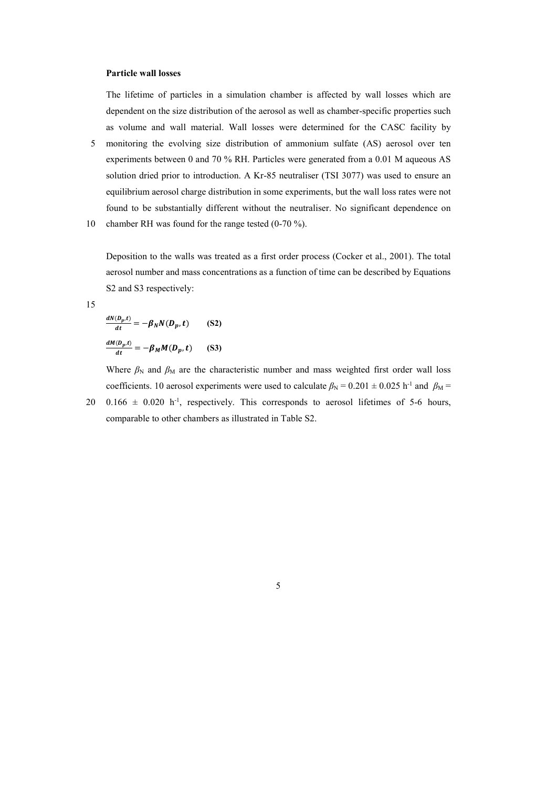#### **Particle wall losses**

The lifetime of particles in a simulation chamber is affected by wall losses which are dependent on the size distribution of the aerosol as well as chamber-specific properties such as volume and wall material. Wall losses were determined for the CASC facility by

- 5 monitoring the evolving size distribution of ammonium sulfate (AS) aerosol over ten experiments between 0 and 70 % RH. Particles were generated from a 0.01 M aqueous AS solution dried prior to introduction. A Kr-85 neutraliser (TSI 3077) was used to ensure an equilibrium aerosol charge distribution in some experiments, but the wall loss rates were not found to be substantially different without the neutraliser. No significant dependence on
- 10 chamber RH was found for the range tested (0-70 %).

Deposition to the walls was treated as a first order process (Cocker et al., 2001). The total aerosol number and mass concentrations as a function of time can be described by Equations S2 and S3 respectively:

15

$$
\frac{dN(D_p,t)}{dt} = -\beta_N N(D_p,t)
$$
 (S2)  

$$
\frac{dM(D_p,t)}{dt} = -\beta_M M(D_p,t)
$$
 (S3)

Where  $\beta_N$  and  $\beta_M$  are the characteristic number and mass weighted first order wall loss coefficients. 10 aerosol experiments were used to calculate  $\beta_N = 0.201 \pm 0.025$  h<sup>-1</sup> and  $\beta_M =$  $20$  0.166  $\pm$  0.020 h<sup>-1</sup>, respectively. This corresponds to aerosol lifetimes of 5-6 hours,

comparable to other chambers as illustrated in Table S2.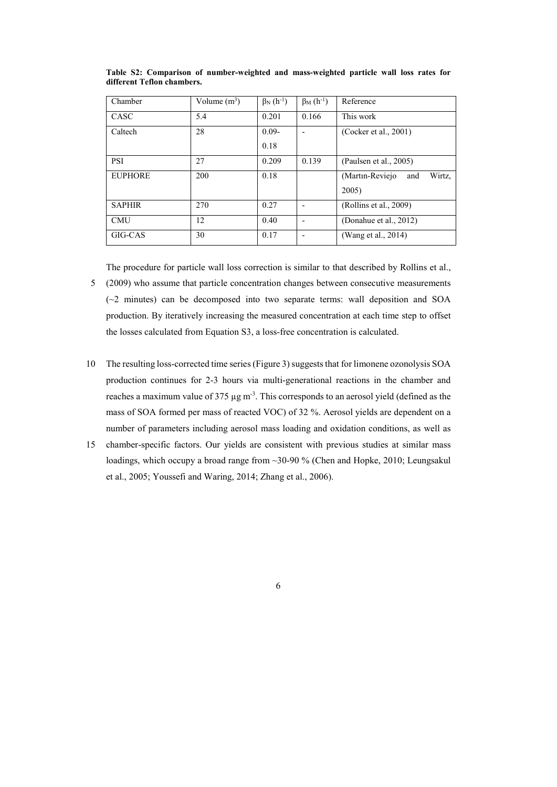| Chamber        | Volume $(m^3)$ | $\beta_N(h^{-1})$ | $\beta$ <sub>M</sub> $(h^{-1})$ | Reference                        |
|----------------|----------------|-------------------|---------------------------------|----------------------------------|
| CASC           | 5.4            | 0.201             | 0.166                           | This work                        |
| Caltech        | 28             | $0.09 -$          | $\overline{\phantom{0}}$        | (Cocker et al., 2001)            |
|                |                | 0.18              |                                 |                                  |
| <b>PSI</b>     | 27             | 0.209             | 0.139                           | (Paulsen et al., $2005$ )        |
| <b>EUPHORE</b> | 200            | 0.18              |                                 | (Martin-Reviejo<br>Wirtz,<br>and |
|                |                |                   |                                 | 2005)                            |
| <b>SAPHIR</b>  | 270            | 0.27              |                                 | (Rollins et al., 2009)           |
| <b>CMU</b>     | 12             | 0.40              |                                 | (Donahue et al., 2012)           |
| GIG-CAS        | 30             | 0.17              | $\overline{\phantom{0}}$        | (Wang et al., 2014)              |

**Table S2: Comparison of number-weighted and mass-weighted particle wall loss rates for different Teflon chambers.** 

The procedure for particle wall loss correction is similar to that described by Rollins et al., 5 (2009) who assume that particle concentration changes between consecutive measurements (~2 minutes) can be decomposed into two separate terms: wall deposition and SOA production. By iteratively increasing the measured concentration at each time step to offset the losses calculated from Equation S3, a loss-free concentration is calculated.

- 10 The resulting loss-corrected time series (Figure 3) suggests that for limonene ozonolysis SOA production continues for 2-3 hours via multi-generational reactions in the chamber and reaches a maximum value of  $375 \mu g$  m<sup>-3</sup>. This corresponds to an aerosol yield (defined as the mass of SOA formed per mass of reacted VOC) of 32 %. Aerosol yields are dependent on a number of parameters including aerosol mass loading and oxidation conditions, as well as
- 15 chamber-specific factors. Our yields are consistent with previous studies at similar mass loadings, which occupy a broad range from ~30-90 % (Chen and Hopke, 2010; Leungsakul et al., 2005; Youssefi and Waring, 2014; Zhang et al., 2006).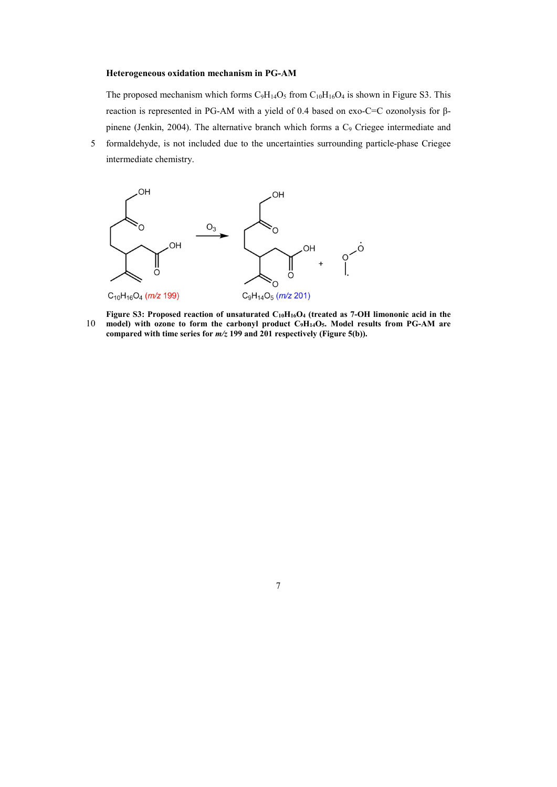#### **Heterogeneous oxidation mechanism in PG-AM**

The proposed mechanism which forms  $C_9H_14O_5$  from  $C_{10}H_{16}O_4$  is shown in Figure S3. This reaction is represented in PG-AM with a yield of 0.4 based on exo-C=C ozonolysis for βpinene (Jenkin, 2004). The alternative branch which forms a C<sub>9</sub> Criegee intermediate and

5 formaldehyde, is not included due to the uncertainties surrounding particle-phase Criegee intermediate chemistry.



**Figure S3: Proposed reaction of unsaturated C10H16O4 (treated as 7-OH limononic acid in the**  10 **model) with ozone to form the carbonyl product C9H14O5. Model results from PG-AM are compared with time series for** *m/z* **199 and 201 respectively (Figure 5(b)).**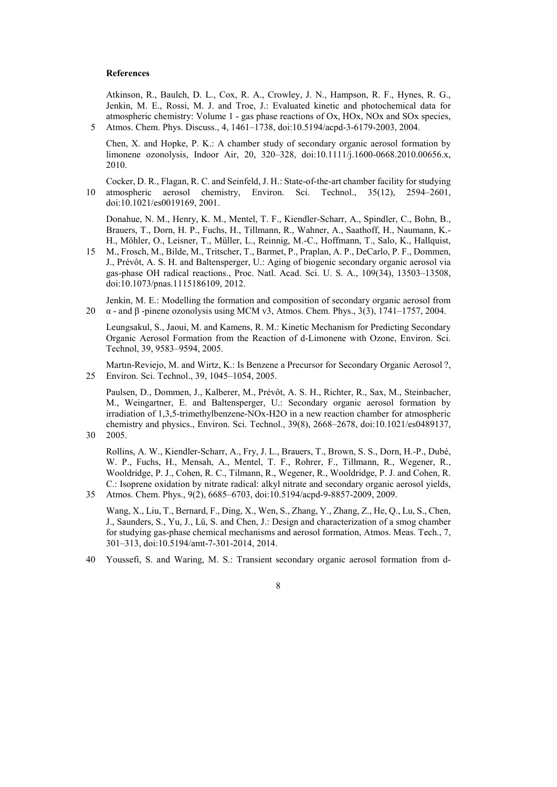#### **References**

Atkinson, R., Baulch, D. L., Cox, R. A., Crowley, J. N., Hampson, R. F., Hynes, R. G., Jenkin, M. E., Rossi, M. J. and Troe, J.: Evaluated kinetic and photochemical data for atmospheric chemistry: Volume 1 - gas phase reactions of Ox, HOx, NOx and SOx species, 5 Atmos. Chem. Phys. Discuss., 4, 1461–1738, doi:10.5194/acpd-3-6179-2003, 2004.

Chen, X. and Hopke, P. K.: A chamber study of secondary organic aerosol formation by limonene ozonolysis, Indoor Air, 20, 320–328, doi:10.1111/j.1600-0668.2010.00656.x, 2010.

Cocker, D. R., Flagan, R. C. and Seinfeld, J. H.: State-of-the-art chamber facility for studying 10 atmospheric aerosol chemistry, Environ. Sci. Technol., 35(12), 2594–2601, doi:10.1021/es0019169, 2001.

Donahue, N. M., Henry, K. M., Mentel, T. F., Kiendler-Scharr, A., Spindler, C., Bohn, B., Brauers, T., Dorn, H. P., Fuchs, H., Tillmann, R., Wahner, A., Saathoff, H., Naumann, K.- H., Möhler, O., Leisner, T., Müller, L., Reinnig, M.-C., Hoffmann, T., Salo, K., Hallquist,

15 M., Frosch, M., Bilde, M., Tritscher, T., Barmet, P., Praplan, A. P., DeCarlo, P. F., Dommen, J., Prévôt, A. S. H. and Baltensperger, U.: Aging of biogenic secondary organic aerosol via gas-phase OH radical reactions., Proc. Natl. Acad. Sci. U. S. A., 109(34), 13503–13508, doi:10.1073/pnas.1115186109, 2012.

Jenkin, M. E.: Modelling the formation and composition of secondary organic aerosol from 20  $\alpha$  - and  $\beta$  -pinene ozonolysis using MCM v3, Atmos. Chem. Phys., 3(3), 1741–1757, 2004.

Leungsakul, S., Jaoui, M. and Kamens, R. M.: Kinetic Mechanism for Predicting Secondary Organic Aerosol Formation from the Reaction of d-Limonene with Ozone, Environ. Sci. Technol, 39, 9583–9594, 2005.

Martın-Reviejo, M. and Wirtz, K.: Is Benzene a Precursor for Secondary Organic Aerosol ?, 25 Environ. Sci. Technol., 39, 1045–1054, 2005.

Paulsen, D., Dommen, J., Kalberer, M., Prévôt, A. S. H., Richter, R., Sax, M., Steinbacher, M., Weingartner, E. and Baltensperger, U.: Secondary organic aerosol formation by irradiation of 1,3,5-trimethylbenzene-NOx-H2O in a new reaction chamber for atmospheric chemistry and physics., Environ. Sci. Technol., 39(8), 2668–2678, doi:10.1021/es0489137, 30 2005.

Rollins, A. W., Kiendler-Scharr, A., Fry, J. L., Brauers, T., Brown, S. S., Dorn, H.-P., Dubé, W. P., Fuchs, H., Mensah, A., Mentel, T. F., Rohrer, F., Tillmann, R., Wegener, R., Wooldridge, P. J., Cohen, R. C., Tilmann, R., Wegener, R., Wooldridge, P. J. and Cohen, R. C.: Isoprene oxidation by nitrate radical: alkyl nitrate and secondary organic aerosol yields, 35 Atmos. Chem. Phys., 9(2), 6685–6703, doi:10.5194/acpd-9-8857-2009, 2009.

Wang, X., Liu, T., Bernard, F., Ding, X., Wen, S., Zhang, Y., Zhang, Z., He, Q., Lu, S., Chen, J., Saunders, S., Yu, J., Lü, S. and Chen, J.: Design and characterization of a smog chamber for studying gas-phase chemical mechanisms and aerosol formation, Atmos. Meas. Tech., 7, 301–313, doi:10.5194/amt-7-301-2014, 2014.

40 Youssefi, S. and Waring, M. S.: Transient secondary organic aerosol formation from d-